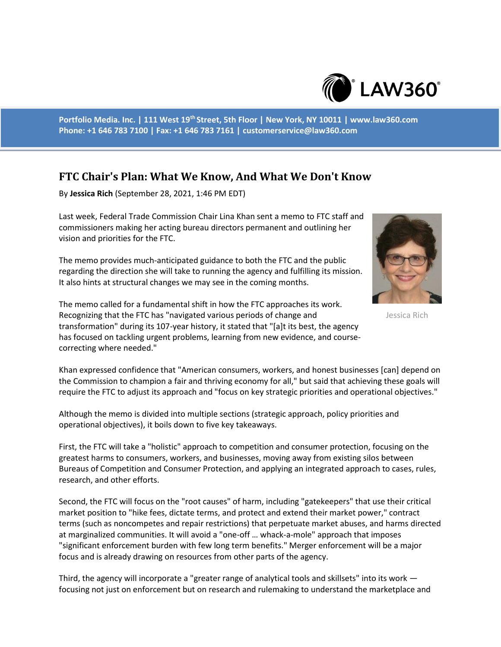

**Portfolio Media. Inc. | 111 West 19th Street, 5th Floor | New York, NY 10011 | www.law360.com Phone: +1 646 783 7100 | Fax: +1 646 783 7161 | customerservice@law360.com**

## **FTC Chair's Plan: What We Know, And What We Don't Know**

By **Jessica Rich** (September 28, 2021, 1:46 PM EDT)

Last week, Federal Trade Commission Chair Lina Khan sent a memo to FTC staff and commissioners making her acting bureau directors permanent and outlining her vision and priorities for the FTC.

The memo provides much-anticipated guidance to both the FTC and the public regarding the direction she will take to running the agency and fulfilling its mission. It also hints at structural changes we may see in the coming months.



Jessica Rich

The memo called for a fundamental shift in how the FTC approaches its work. Recognizing that the FTC has "navigated various periods of change and transformation" during its 107-year history, it stated that "[a]t its best, the agency has focused on tackling urgent problems, learning from new evidence, and coursecorrecting where needed."

Khan expressed confidence that "American consumers, workers, and honest businesses [can] depend on the Commission to champion a fair and thriving economy for all," but said that achieving these goals will require the FTC to adjust its approach and "focus on key strategic priorities and operational objectives."

Although the memo is divided into multiple sections (strategic approach, policy priorities and operational objectives), it boils down to five key takeaways.

First, the FTC will take a "holistic" approach to competition and consumer protection, focusing on the greatest harms to consumers, workers, and businesses, moving away from existing silos between Bureaus of Competition and Consumer Protection, and applying an integrated approach to cases, rules, research, and other efforts.

Second, the FTC will focus on the "root causes" of harm, including "gatekeepers" that use their critical market position to "hike fees, dictate terms, and protect and extend their market power," contract terms (such as noncompetes and repair restrictions) that perpetuate market abuses, and harms directed at marginalized communities. It will avoid a "one-off … whack-a-mole" approach that imposes "significant enforcement burden with few long term benefits." Merger enforcement will be a major focus and is already drawing on resources from other parts of the agency.

Third, the agency will incorporate a "greater range of analytical tools and skillsets" into its work focusing not just on enforcement but on research and rulemaking to understand the marketplace and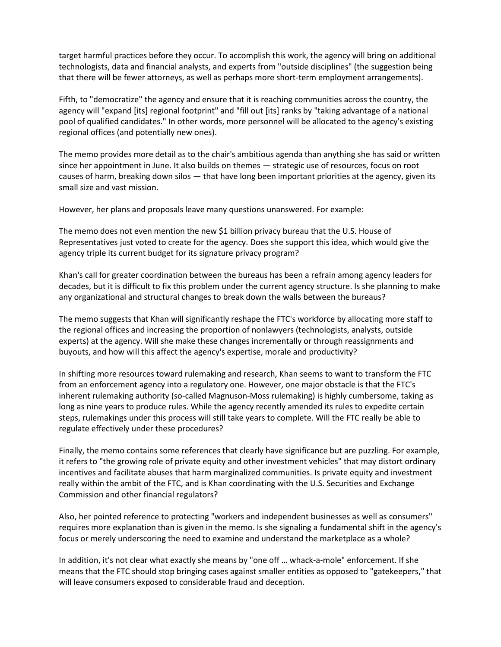target harmful practices before they occur. To accomplish this work, the agency will bring on additional technologists, data and financial analysts, and experts from "outside disciplines" (the suggestion being that there will be fewer attorneys, as well as perhaps more short-term employment arrangements).

Fifth, to "democratize" the agency and ensure that it is reaching communities across the country, the agency will "expand [its] regional footprint" and "fill out [its] ranks by "taking advantage of a national pool of qualified candidates." In other words, more personnel will be allocated to the agency's existing regional offices (and potentially new ones).

The memo provides more detail as to the chair's ambitious agenda than anything she has said or written since her appointment in June. It also builds on themes — strategic use of resources, focus on root causes of harm, breaking down silos — that have long been important priorities at the agency, given its small size and vast mission.

However, her plans and proposals leave many questions unanswered. For example:

The memo does not even mention the new \$1 billion privacy bureau that the U.S. House of Representatives just voted to create for the agency. Does she support this idea, which would give the agency triple its current budget for its signature privacy program?

Khan's call for greater coordination between the bureaus has been a refrain among agency leaders for decades, but it is difficult to fix this problem under the current agency structure. Is she planning to make any organizational and structural changes to break down the walls between the bureaus?

The memo suggests that Khan will significantly reshape the FTC's workforce by allocating more staff to the regional offices and increasing the proportion of nonlawyers (technologists, analysts, outside experts) at the agency. Will she make these changes incrementally or through reassignments and buyouts, and how will this affect the agency's expertise, morale and productivity?

In shifting more resources toward rulemaking and research, Khan seems to want to transform the FTC from an enforcement agency into a regulatory one. However, one major obstacle is that the FTC's inherent rulemaking authority (so-called Magnuson-Moss rulemaking) is highly cumbersome, taking as long as nine years to produce rules. While the agency recently amended its rules to expedite certain steps, rulemakings under this process will still take years to complete. Will the FTC really be able to regulate effectively under these procedures?

Finally, the memo contains some references that clearly have significance but are puzzling. For example, it refers to "the growing role of private equity and other investment vehicles" that may distort ordinary incentives and facilitate abuses that harm marginalized communities. Is private equity and investment really within the ambit of the FTC, and is Khan coordinating with the U.S. Securities and Exchange Commission and other financial regulators?

Also, her pointed reference to protecting "workers and independent businesses as well as consumers" requires more explanation than is given in the memo. Is she signaling a fundamental shift in the agency's focus or merely underscoring the need to examine and understand the marketplace as a whole?

In addition, it's not clear what exactly she means by "one off … whack-a-mole" enforcement. If she means that the FTC should stop bringing cases against smaller entities as opposed to "gatekeepers," that will leave consumers exposed to considerable fraud and deception.